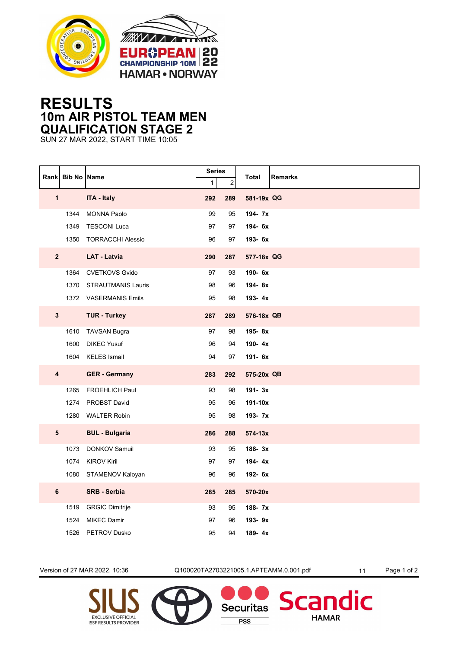



## **RESULTS 10m AIR PISTOL TEAM MEN QUALIFICATION STAGE 2**

SUN 27 MAR 2022, START TIME 10:05

|                         | Rank Bib No Name |                        | <b>Series</b><br>$\mathbf{1}$ |          | <b>Remarks</b><br>Total |
|-------------------------|------------------|------------------------|-------------------------------|----------|-------------------------|
| $\mathbf{1}$            |                  | ITA - Italy            | 292                           | 2<br>289 | 581-19x QG              |
|                         | 1344             | <b>MONNA Paolo</b>     | 99                            | 95       | 194-7x                  |
|                         | 1349             | <b>TESCONI Luca</b>    | 97                            | 97       | 194-6x                  |
|                         |                  | 1350 TORRACCHI Alessio | 96                            | 97       | 193- 6x                 |
|                         |                  |                        |                               |          |                         |
| 2 <sup>2</sup>          |                  | <b>LAT - Latvia</b>    | 290                           | 287      | 577-18x QG              |
|                         |                  | 1364 CVETKOVS Gvido    | 97                            | 93       | 190-6x                  |
|                         | 1370             | STRAUTMANIS Lauris     | 98                            | 96       | 194-8x                  |
|                         |                  | 1372 VASERMANIS Emils  | 95                            | 98       | 193-4x                  |
| $\mathbf{3}$            |                  | <b>TUR - Turkey</b>    | 287                           | 289      | 576-18x QB              |
|                         | 1610             | <b>TAVSAN Bugra</b>    | 97                            | 98       | 195-8x                  |
|                         | 1600             | <b>DIKEC Yusuf</b>     | 96                            | 94       | 190-4x                  |
|                         | 1604             | <b>KELES Ismail</b>    | 94                            | 97       | 191- 6x                 |
| $\overline{\mathbf{4}}$ |                  | <b>GER</b> - Germany   | 283                           | 292      | 575-20x QB              |
|                         | 1265             | <b>FROEHLICH Paul</b>  | 93                            | 98       | 191-3x                  |
|                         | 1274             | PROBST David           | 95                            | 96       | 191-10x                 |
|                         |                  | 1280 WALTER Robin      | 95                            | 98       | 193-7x                  |
| ${\bf 5}$               |                  | <b>BUL - Bulgaria</b>  | 286                           | 288      | $574 - 13x$             |
|                         | 1073             | <b>DONKOV Samuil</b>   | 93                            | 95       | 188-3x                  |
|                         | 1074             | <b>KIROV Kiril</b>     | 97                            | 97       | 194-4x                  |
|                         |                  | 1080 STAMENOV Kaloyan  | 96                            | 96       | 192- 6x                 |
| $6\phantom{a}$          |                  | <b>SRB - Serbia</b>    | 285                           | 285      | 570-20x                 |
|                         | 1519             | <b>GRGIC Dimitrije</b> | 93                            | 95       | 188-7x                  |
|                         | 1524             | <b>MIKEC Damir</b>     | 97                            | 96       | 193-9x                  |
|                         | 1526             | <b>PETROV Dusko</b>    | 95                            | 94       | 189-4x                  |

**EXCLUSIVE OFFICIAL** 

**ISSF RESULTS PROVIDER** 

Version of 27 MAR 2022, 10:36 Q100020TA2703221005.1.APTEAMM.0.001.pdf 11 Page 1 of 2

**Securitas** 

**PSS** 

dic

**Scar** 

**HAMAR**